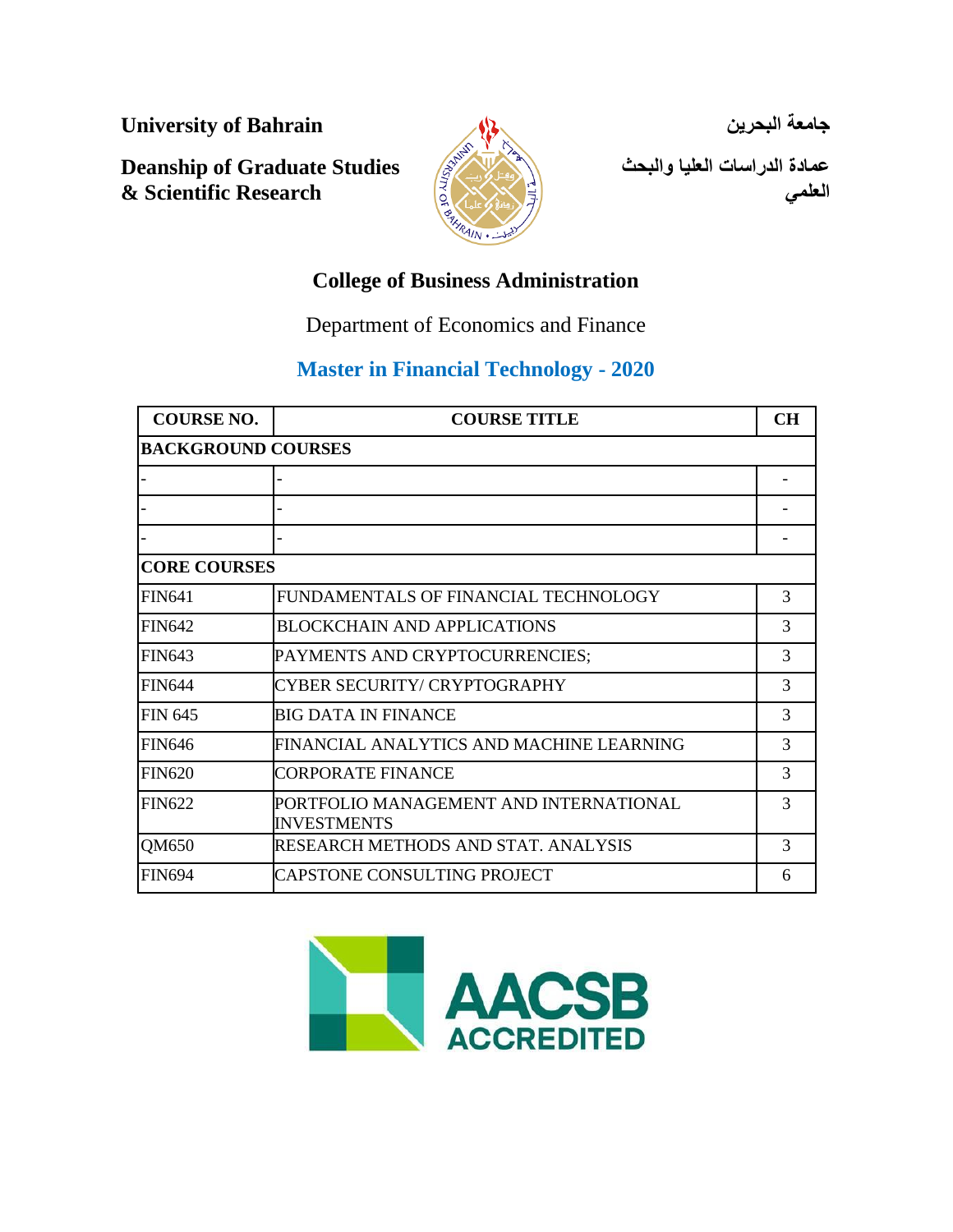**University of Bahrain**

**Deanship of Graduate Studies & Scientific Research**



**جامعة البحرين** 

**عمادة الدراسات العليا والبحث العلمي**

# **College of Business Administration**

Department of Economics and Finance

# **Master in Financial Technology - 2020**

| <b>COURSE NO.</b>         | <b>COURSE TITLE</b>                                          | <b>CH</b> |
|---------------------------|--------------------------------------------------------------|-----------|
| <b>BACKGROUND COURSES</b> |                                                              |           |
|                           |                                                              |           |
|                           |                                                              |           |
|                           |                                                              |           |
| <b>CORE COURSES</b>       |                                                              |           |
| <b>FIN641</b>             | FUNDAMENTALS OF FINANCIAL TECHNOLOGY                         | 3         |
| <b>FIN642</b>             | BLOCKCHAIN AND APPLICATIONS                                  | 3         |
| <b>FIN643</b>             | PAYMENTS AND CRYPTOCURRENCIES;                               | 3         |
| <b>FIN644</b>             | CYBER SECURITY/ CRYPTOGRAPHY                                 | 3         |
| <b>FIN 645</b>            | BIG DATA IN FINANCE                                          | 3         |
| <b>FIN646</b>             | FINANCIAL ANALYTICS AND MACHINE LEARNING                     | 3         |
| <b>FIN620</b>             | CORPORATE FINANCE                                            | 3         |
| <b>FIN622</b>             | PORTFOLIO MANAGEMENT AND INTERNATIONAL<br><b>INVESTMENTS</b> | 3         |
| QM650                     | RESEARCH METHODS AND STAT. ANALYSIS                          | 3         |
| <b>FIN694</b>             | ICAPSTONE CONSULTING PROJECT                                 | 6         |

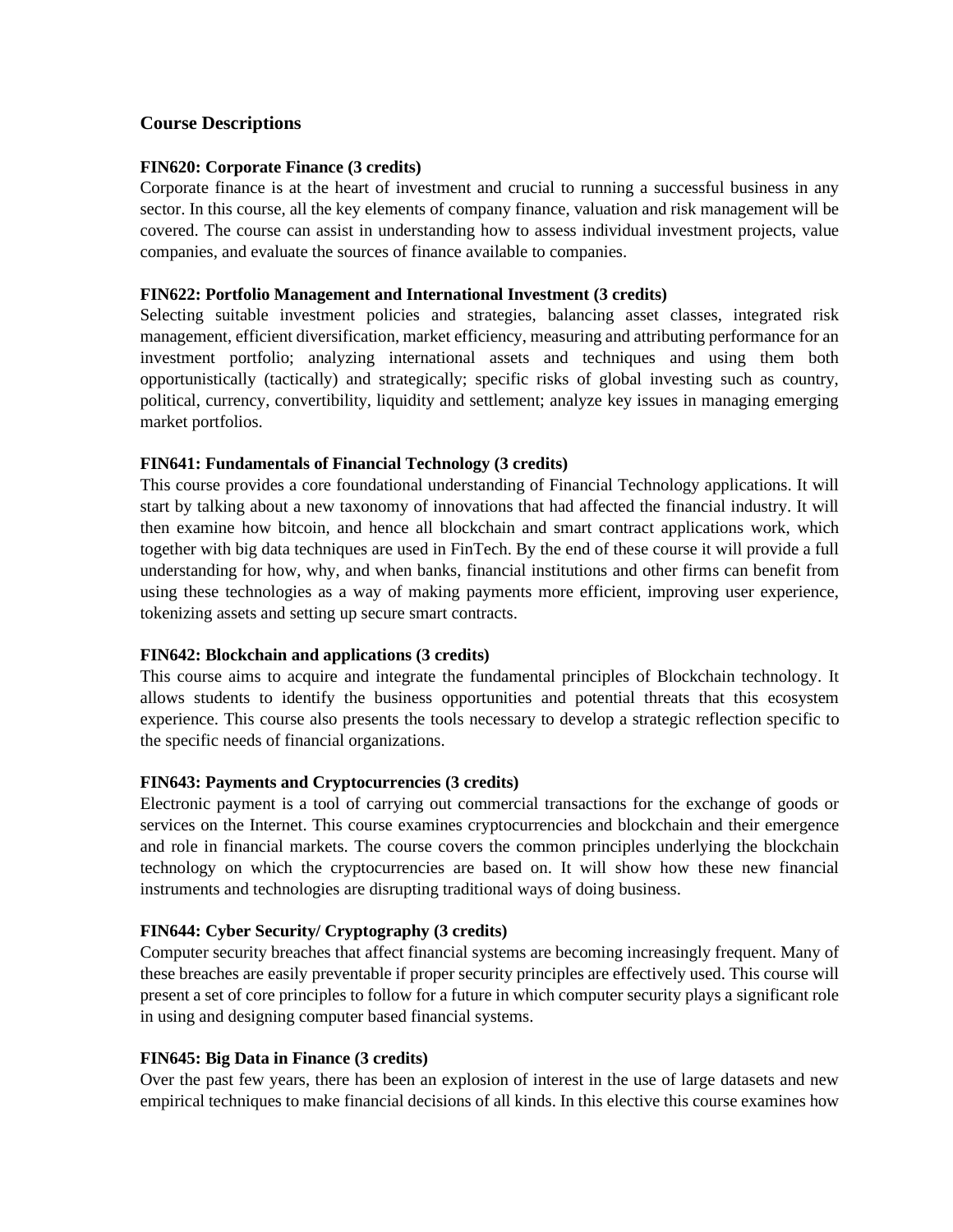# **Course Descriptions**

#### **FIN620: Corporate Finance (3 credits)**

Corporate finance is at the heart of investment and crucial to running a successful business in any sector. In this course, all the key elements of company finance, valuation and risk management will be covered. The course can assist in understanding how to assess individual investment projects, value companies, and evaluate the sources of finance available to companies.

#### **FIN622: Portfolio Management and International Investment (3 credits)**

Selecting suitable investment policies and strategies, balancing asset classes, integrated risk management, efficient diversification, market efficiency, measuring and attributing performance for an investment portfolio; analyzing international assets and techniques and using them both opportunistically (tactically) and strategically; specific risks of global investing such as country, political, currency, convertibility, liquidity and settlement; analyze key issues in managing emerging market portfolios.

### **FIN641: Fundamentals of Financial Technology (3 credits)**

This course provides a core foundational understanding of Financial Technology applications. It will start by talking about a new taxonomy of innovations that had affected the financial industry. It will then examine how bitcoin, and hence all blockchain and smart contract applications work, which together with big data techniques are used in FinTech. By the end of these course it will provide a full understanding for how, why, and when banks, financial institutions and other firms can benefit from using these technologies as a way of making payments more efficient, improving user experience, tokenizing assets and setting up secure smart contracts.

### **FIN642: Blockchain and applications (3 credits)**

This course aims to acquire and integrate the fundamental principles of Blockchain technology. It allows students to identify the business opportunities and potential threats that this ecosystem experience. This course also presents the tools necessary to develop a strategic reflection specific to the specific needs of financial organizations.

### **FIN643: Payments and Cryptocurrencies (3 credits)**

Electronic payment is a tool of carrying out commercial transactions for the exchange of goods or services on the Internet. This course examines cryptocurrencies and blockchain and their emergence and role in financial markets. The course covers the common principles underlying the blockchain technology on which the cryptocurrencies are based on. It will show how these new financial instruments and technologies are disrupting traditional ways of doing business.

#### **FIN644: Cyber Security/ Cryptography (3 credits)**

Computer security breaches that affect financial systems are becoming increasingly frequent. Many of these breaches are easily preventable if proper security principles are effectively used. This course will present a set of core principles to follow for a future in which computer security plays a significant role in using and designing computer based financial systems.

#### **FIN645: Big Data in Finance (3 credits)**

Over the past few years, there has been an explosion of interest in the use of large datasets and new empirical techniques to make financial decisions of all kinds. In this elective this course examines how